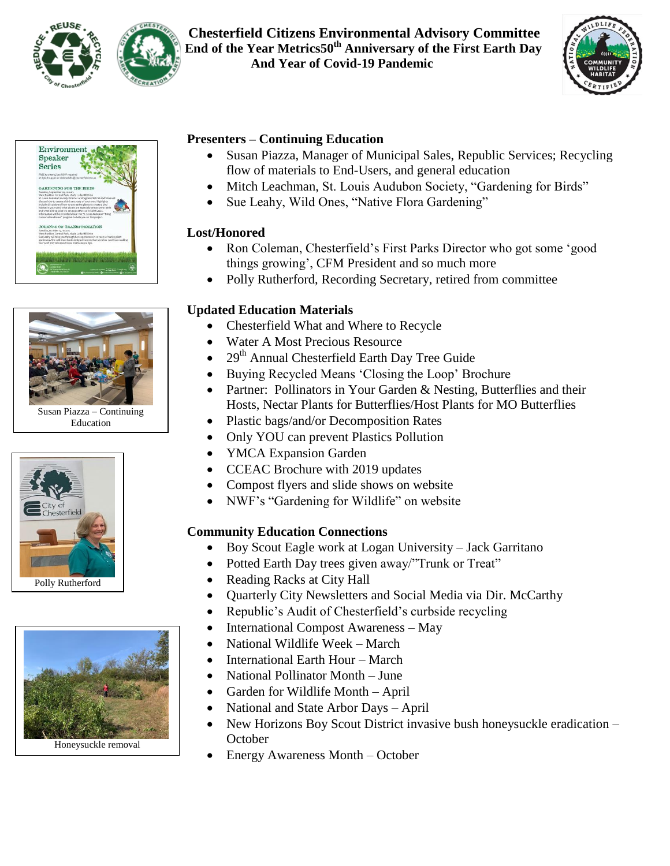

## **Chesterfield Citizens Environmental Advisory Committee 2020 End of the Year Metrics50th Anniversary of the First Earth Day And Year of Covid-19 Pandemic**







Susan Piazza – Continuing Education





# **Presenters – Continuing Education**

- Susan Piazza, Manager of Municipal Sales, Republic Services; Recycling flow of materials to End-Users, and general education
- Mitch Leachman, St. Louis Audubon Society, "Gardening for Birds"
- Sue Leahy, Wild Ones, "Native Flora Gardening"

## **Lost/Honored**

- Ron Coleman, Chesterfield's First Parks Director who got some 'good things growing", CFM President and so much more
- Polly Rutherford, Recording Secretary, retired from committee

# **Updated Education Materials**

- Chesterfield What and Where to Recycle
- Water A Most Precious Resource
- 29<sup>th</sup> Annual Chesterfield Earth Day Tree Guide
- Buying Recycled Means 'Closing the Loop' Brochure
- Partner: Pollinators in Your Garden & Nesting, Butterflies and their Hosts, Nectar Plants for Butterflies/Host Plants for MO Butterflies
- Plastic bags/and/or Decomposition Rates
- Only YOU can prevent Plastics Pollution
- YMCA Expansion Garden
- CCEAC Brochure with 2019 updates
- Compost flyers and slide shows on website
- NWF's "Gardening for Wildlife" on website

# **Community Education Connections**

- Boy Scout Eagle work at Logan University Jack Garritano
- Potted Earth Day trees given away/"Trunk or Treat"
- Reading Racks at City Hall
- Quarterly City Newsletters and Social Media via Dir. McCarthy
- Republic's Audit of Chesterfield's curbside recycling
- International Compost Awareness May
- National Wildlife Week March
- International Earth Hour March
- National Pollinator Month June
- Garden for Wildlife Month April
- National and State Arbor Days April
- New Horizons Boy Scout District invasive bush honeysuckle eradication **October**
- Energy Awareness Month October